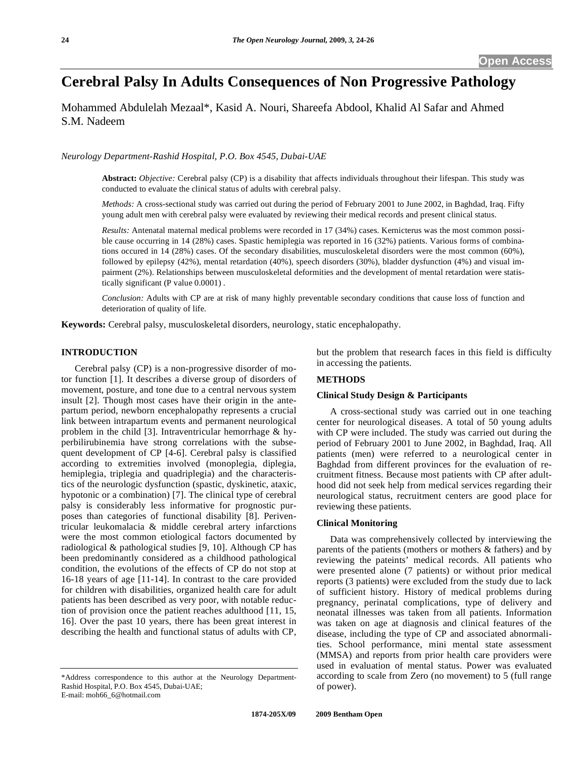# **Cerebral Palsy In Adults Consequences of Non Progressive Pathology**

Mohammed Abdulelah Mezaal\*, Kasid A. Nouri, Shareefa Abdool, Khalid Al Safar and Ahmed S.M. Nadeem

*Neurology Department-Rashid Hospital, P.O. Box 4545, Dubai-UAE* 

**Abstract:** *Objective:* Cerebral palsy (CP) is a disability that affects individuals throughout their lifespan. This study was conducted to evaluate the clinical status of adults with cerebral palsy.

*Methods:* A cross-sectional study was carried out during the period of February 2001 to June 2002, in Baghdad, Iraq. Fifty young adult men with cerebral palsy were evaluated by reviewing their medical records and present clinical status.

*Results:* Antenatal maternal medical problems were recorded in 17 (34%) cases. Kernicterus was the most common possible cause occurring in 14 (28%) cases. Spastic hemiplegia was reported in 16 (32%) patients. Various forms of combinations occured in 14 (28%) cases. Of the secondary disabilities, musculoskeletal disorders were the most common (60%), followed by epilepsy (42%), mental retardation (40%), speech disorders (30%), bladder dysfunction (4%) and visual impairment (2%). Relationships between musculoskeletal deformities and the development of mental retardation were statistically significant (P value 0.0001) .

*Conclusion:* Adults with CP are at risk of many highly preventable secondary conditions that cause loss of function and deterioration of quality of life.

**Keywords:** Cerebral palsy, musculoskeletal disorders, neurology, static encephalopathy.

# **INTRODUCTION**

 Cerebral palsy (CP) is a non-progressive disorder of motor function [1]. It describes a diverse group of disorders of movement, posture, and tone due to a central nervous system insult [2]. Though most cases have their origin in the antepartum period, newborn encephalopathy represents a crucial link between intrapartum events and permanent neurological problem in the child [3]. Intraventricular hemorrhage & hyperbilirubinemia have strong correlations with the subsequent development of CP [4-6]. Cerebral palsy is classified according to extremities involved (monoplegia, diplegia, hemiplegia, triplegia and quadriplegia) and the characteristics of the neurologic dysfunction (spastic, dyskinetic, ataxic, hypotonic or a combination) [7]. The clinical type of cerebral palsy is considerably less informative for prognostic purposes than categories of functional disability [8]. Periventricular leukomalacia & middle cerebral artery infarctions were the most common etiological factors documented by radiological & pathological studies [9, 10]. Although CP has been predominantly considered as a childhood pathological condition, the evolutions of the effects of CP do not stop at 16-18 years of age [11-14]. In contrast to the care provided for children with disabilities, organized health care for adult patients has been described as very poor, with notable reduction of provision once the patient reaches adulthood [11, 15, 16]. Over the past 10 years, there has been great interest in describing the health and functional status of adults with CP,

\*Address correspondence to this author at the Neurology Department-Rashid Hospital, P.O. Box 4545, Dubai-UAE; E-mail: moh66\_6@hotmail.com

but the problem that research faces in this field is difficulty in accessing the patients.

# **METHODS**

# **Clinical Study Design & Participants**

 A cross-sectional study was carried out in one teaching center for neurological diseases. A total of 50 young adults with CP were included. The study was carried out during the period of February 2001 to June 2002, in Baghdad, Iraq. All patients (men) were referred to a neurological center in Baghdad from different provinces for the evaluation of recruitment fitness. Because most patients with CP after adulthood did not seek help from medical services regarding their neurological status, recruitment centers are good place for reviewing these patients.

# **Clinical Monitoring**

 Data was comprehensively collected by interviewing the parents of the patients (mothers or mothers & fathers) and by reviewing the pateints' medical records. All patients who were presented alone (7 patients) or without prior medical reports (3 patients) were excluded from the study due to lack of sufficient history. History of medical problems during pregnancy, perinatal complications, type of delivery and neonatal illnesses was taken from all patients. Information was taken on age at diagnosis and clinical features of the disease, including the type of CP and associated abnormalities. School performance, mini mental state assessment (MMSA) and reports from prior health care providers were used in evaluation of mental status. Power was evaluated according to scale from Zero (no movement) to 5 (full range of power).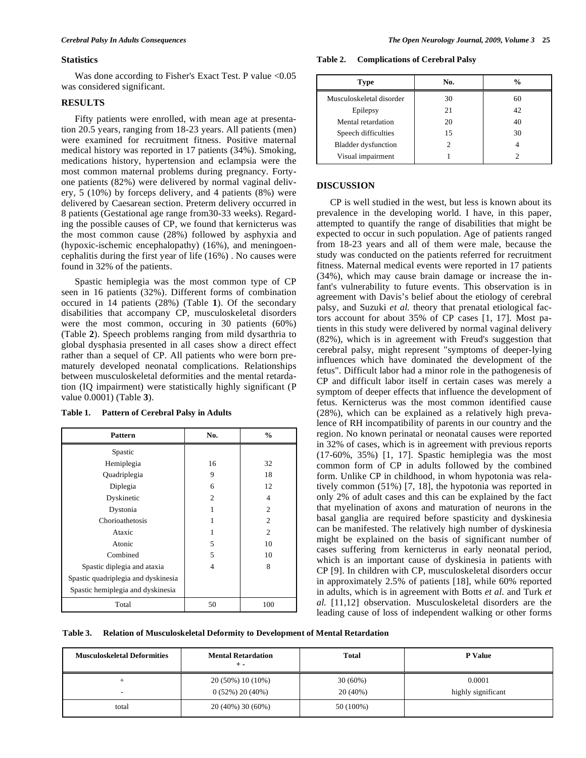#### **Statistics**

Was done according to Fisher's Exact Test. P value  $\leq 0.05$ was considered significant.

### **RESULTS**

 Fifty patients were enrolled, with mean age at presentation 20.5 years, ranging from 18-23 years. All patients (men) were examined for recruitment fitness. Positive maternal medical history was reported in 17 patients (34%). Smoking, medications history, hypertension and eclampsia were the most common maternal problems during pregnancy. Fortyone patients (82%) were delivered by normal vaginal delivery, 5 (10%) by forceps delivery, and 4 patients (8%) were delivered by Caesarean section. Preterm delivery occurred in 8 patients (Gestational age range from30-33 weeks). Regarding the possible causes of CP, we found that kernicterus was the most common cause (28%) followed by asphyxia and (hypoxic-ischemic encephalopathy) (16%), and meningoencephalitis during the first year of life (16%) . No causes were found in 32% of the patients.

 Spastic hemiplegia was the most common type of CP seen in 16 patients (32%). Different forms of combination occured in 14 patients (28%) (Table **1**). Of the secondary disabilities that accompany CP, musculoskeletal disorders were the most common, occuring in 30 patients (60%) (Table **2**). Speech problems ranging from mild dysarthria to global dysphasia presented in all cases show a direct effect rather than a sequel of CP. All patients who were born prematurely developed neonatal complications. Relationships between musculoskeletal deformities and the mental retardation (IQ impairment) were statistically highly significant (P value 0.0001) (Table **3**).

| <b>Pattern</b>                      | No.            | $\frac{0}{0}$  |
|-------------------------------------|----------------|----------------|
| Spastic                             |                |                |
| Hemiplegia                          | 16             | 32             |
| Quadriplegia                        | 9              | 18             |
| Diplegia                            | 6              | 12             |
| Dyskinetic                          | $\mathfrak{D}$ | $\overline{4}$ |
| Dystonia                            | 1              | $\overline{c}$ |
| Chorioathetosis                     | 1              | $\overline{2}$ |
| Ataxic                              | 1              | $\overline{c}$ |
| Atonic                              | 5              | 10             |
| Combined                            | 5              | 10             |
| Spastic diplegia and ataxia         | 4              | 8              |
| Spastic quadriplegia and dyskinesia |                |                |
| Spastic hemiplegia and dyskinesia   |                |                |
| Total                               | 50             | 100            |

#### **Table 1. Pattern of Cerebral Palsy in Adults**

**Table 2. Complications of Cerebral Palsy** 

| <b>Type</b>                | No. | $\frac{0}{0}$ |
|----------------------------|-----|---------------|
| Musculoskeletal disorder   | 30  | 60            |
| Epilepsy                   | 21  | 42            |
| Mental retardation         | 20  | 40            |
| Speech difficulties        | 15  | 30            |
| <b>Bladder dysfunction</b> | 2   |               |
| Visual impairment          |     |               |

# **DISCUSSION**

 CP is well studied in the west, but less is known about its prevalence in the developing world. I have, in this paper, attempted to quantify the range of disabilities that might be expected to occur in such population. Age of patients ranged from 18-23 years and all of them were male, because the study was conducted on the patients referred for recruitment fitness. Maternal medical events were reported in 17 patients (34%), which may cause brain damage or increase the infant's vulnerability to future events. This observation is in agreement with Davis's belief about the etiology of cerebral palsy, and Suzuki *et al.* theory that prenatal etiological factors account for about 35% of CP cases [1, 17]. Most patients in this study were delivered by normal vaginal delivery (82%), which is in agreement with Freud's suggestion that cerebral palsy, might represent "symptoms of deeper-lying influences which have dominated the development of the fetus". Difficult labor had a minor role in the pathogenesis of CP and difficult labor itself in certain cases was merely a symptom of deeper effects that influence the development of fetus. Kernicterus was the most common identified cause (28%), which can be explained as a relatively high prevalence of RH incompatibility of parents in our country and the region. No known perinatal or neonatal causes were reported in 32% of cases, which is in agreement with previous reports (17-60%, 35%) [1, 17]. Spastic hemiplegia was the most common form of CP in adults followed by the combined form. Unlike CP in childhood, in whom hypotonia was relatively common (51%) [7, 18], the hypotonia was reported in only 2% of adult cases and this can be explained by the fact that myelination of axons and maturation of neurons in the basal ganglia are required before spasticity and dyskinesia can be manifested. The relatively high number of dyskinesia might be explained on the basis of significant number of cases suffering from kernicterus in early neonatal period, which is an important cause of dyskinesia in patients with CP [9]. In children with CP, musculoskeletal disorders occur in approximately 2.5% of patients [18], while 60% reported in adults, which is in agreement with Botts *et al.* and Turk *et al.* [11,12] observation. Musculoskeletal disorders are the leading cause of loss of independent walking or other forms

**Table 3. Relation of Musculoskeletal Deformity to Development of Mental Retardation** 

| <b>Musculoskeletal Deformities</b> | <b>Mental Retardation</b><br>$+ -$ | <b>Total</b> | <b>P</b> Value     |
|------------------------------------|------------------------------------|--------------|--------------------|
|                                    | 20 (50%) 10 (10%)                  | $30(60\%)$   | 0.0001             |
| -                                  | $0(52\%) 20(40\%)$                 | 20(40%)      | highly significant |
| total                              | 20 (40%) 30 (60%)                  | 50 (100%)    |                    |